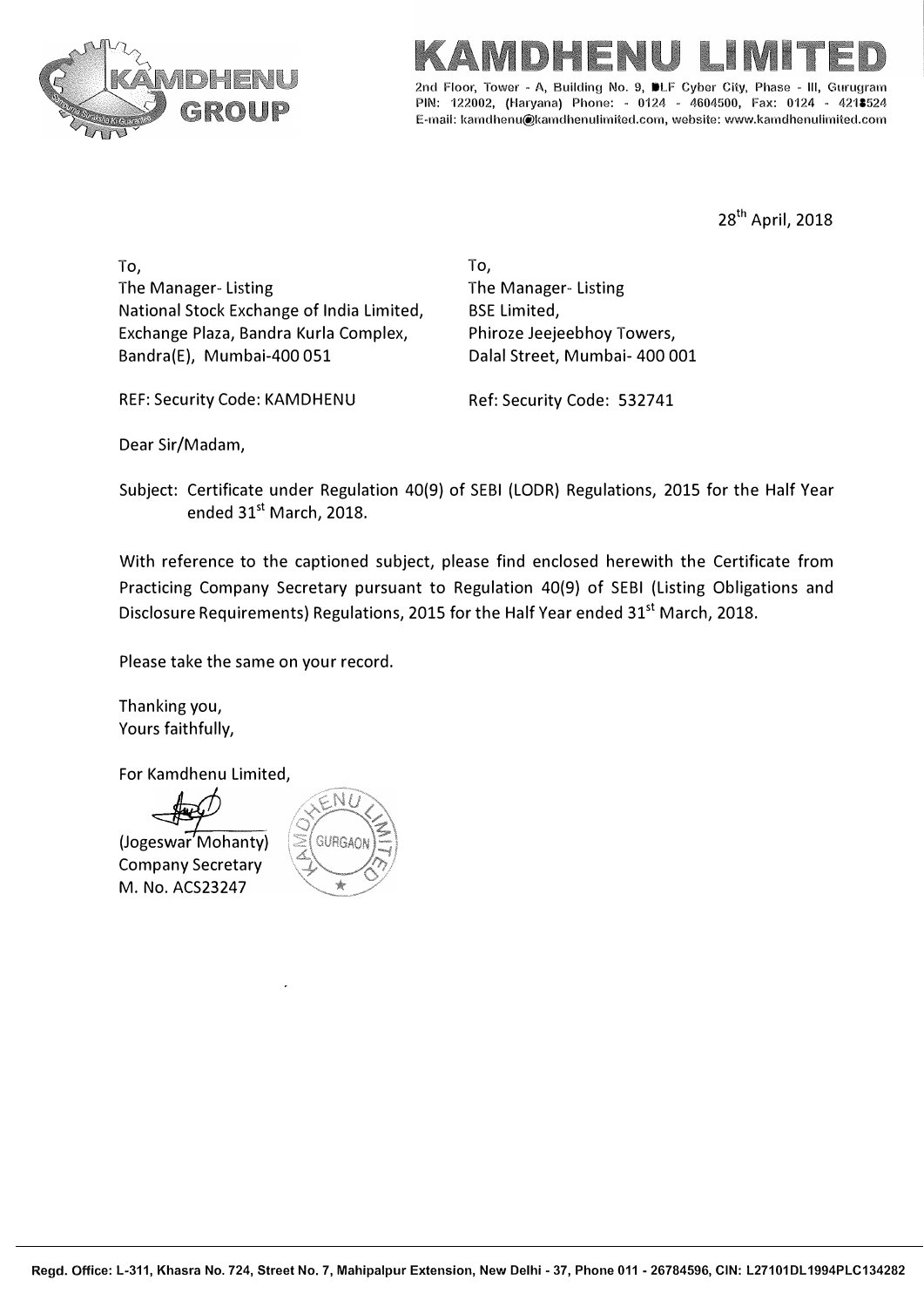



PIN: 122002, (Haryana) Phone: - 0124 - 4604500, Fax: 0124 - 4218524 E-mail: kamdhenu@kamdhenulimited.com, website: www.kamdhenulimited.com

28th April, 2018

To, The Manager- Listing National Stock Exchange of India Limited, Exchange Plaza, Bandra Kurla Complex, Bandra(E), Mumbai-400 051

To, The Manager- Listing BSE Limited, Phiroze Jeejeebhoy Towers, Dalal Street, Mumbai- 400 001

REF: Security Code: KAMDHENU Ref: Security Code: 532741

Dear Sir/Madam,

Subject: Certificate under Regulation 40(9) of SEBI (LODR) Regulations, 2015 for the Half Vear ended 31<sup>st</sup> March, 2018.

With reference to the captioned subject, please find enclosed herewith the Certificate from Practicing Company Secretary pursuant to Regulation 40(9) of SEBI (Listing Obligations and Disclosure Requirements) Regulations, 2015 for the Half Year ended 31<sup>st</sup> March, 2018.

Please take the same on your record.

Thanking you, Yours faithfully,

For Kamdhenu Limited,

(Jogeswar Mohanty) Company Secretary M. No. ACS23247